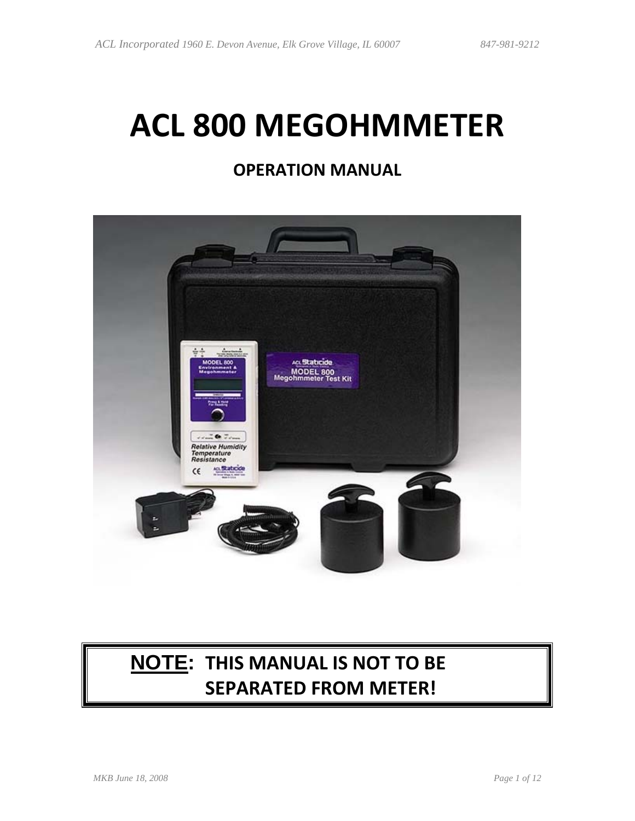# **ACL 800 MEGOHMMETER**

### **OPERATION MANUAL**



# **NOTE: THIS MANUAL IS NOT TO BE SEPARATED FROM METER!**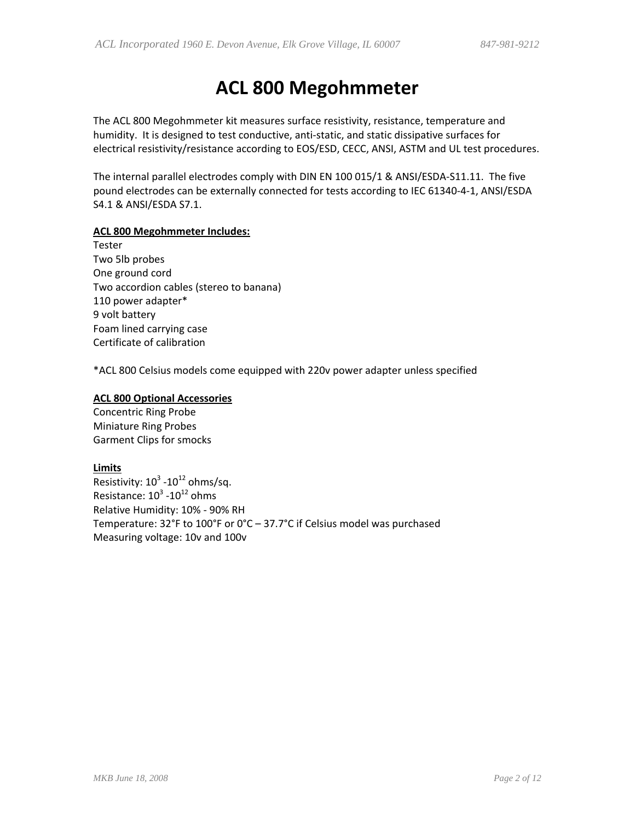## **ACL 800 Megohmmeter**

The ACL 800 Megohmmeter kit measures surface resistivity, resistance, temperature and humidity. It is designed to test conductive, anti‐static, and static dissipative surfaces for electrical resistivity/resistance according to EOS/ESD, CECC, ANSI, ASTM and UL test procedures.

The internal parallel electrodes comply with DIN EN 100 015/1 & ANSI/ESDA‐S11.11. The five pound electrodes can be externally connected for tests according to IEC 61340‐4‐1, ANSI/ESDA S4.1 & ANSI/ESDA S7.1.

#### **ACL 800 Megohmmeter Includes:**

Tester Two 5lb probes One ground cord Two accordion cables (stereo to banana) 110 power adapter\* 9 volt battery Foam lined carrying case Certificate of calibration

\*ACL 800 Celsius models come equipped with 220v power adapter unless specified

#### **ACL 800 Optional Accessories**

Concentric Ring Probe Miniature Ring Probes Garment Clips for smocks

#### **Limits**

Resistivity:  $10^3$  - $10^{12}$  ohms/sq. Resistance:  $10^3$  - $10^{12}$  ohms Relative Humidity: 10% ‐ 90% RH Temperature: 32°F to 100°F or 0°C – 37.7°C if Celsius model was purchased Measuring voltage: 10v and 100v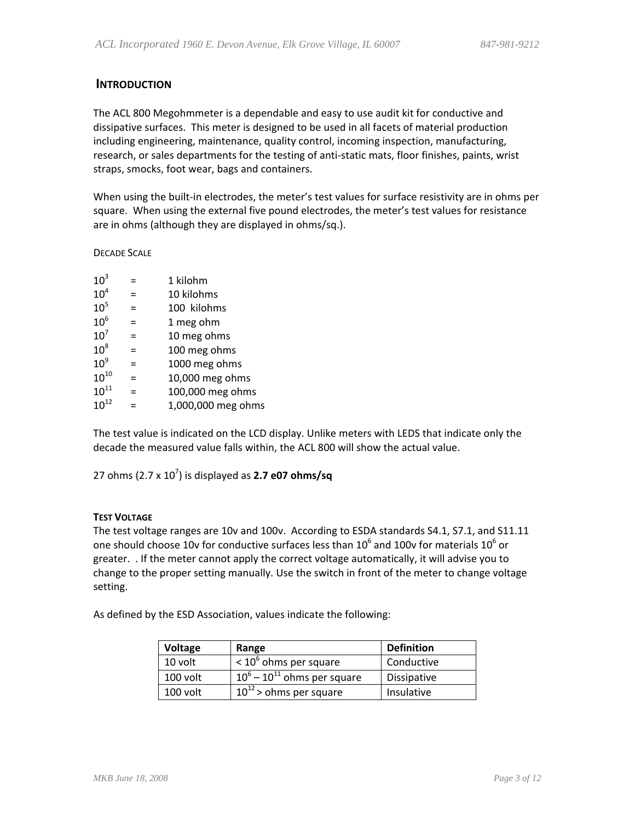#### **INTRODUCTION**

The ACL 800 Megohmmeter is a dependable and easy to use audit kit for conductive and dissipative surfaces. This meter is designed to be used in all facets of material production including engineering, maintenance, quality control, incoming inspection, manufacturing, research, or sales departments for the testing of anti‐static mats, floor finishes, paints, wrist straps, smocks, foot wear, bags and containers.

When using the built-in electrodes, the meter's test values for surface resistivity are in ohms per square. When using the external five pound electrodes, the meter's test values for resistance are in ohms (although they are displayed in ohms/sq.).

DECADE SCALE

| 10 <sup>3</sup>     |     | 1 kilohm           |
|---------------------|-----|--------------------|
| 10 <sup>4</sup>     | $=$ | 10 kilohms         |
| 10 <sup>5</sup>     | $=$ | 100 kilohms        |
| 10 <sup>6</sup>     | $=$ | 1 meg ohm          |
| 10 <sup>7</sup>     | $=$ | 10 meg ohms        |
| $10^8$              | $=$ | 100 meg ohms       |
| $10^9$              | $=$ | 1000 meg ohms      |
| ${\rm 10}^{\rm 10}$ | =   | 10,000 meg ohms    |
| $10^{11}$           | $=$ | 100,000 meg ohms   |
| $10^{12}$           | $=$ | 1,000,000 meg ohms |

The test value is indicated on the LCD display. Unlike meters with LEDS that indicate only the decade the measured value falls within, the ACL 800 will show the actual value.

27 ohms (2.7 x 107 ) is displayed as **2.7 e07 ohms/sq**

#### **TEST VOLTAGE**

The test voltage ranges are 10v and 100v. According to ESDA standards S4.1, S7.1, and S11.11 one should choose 10v for conductive surfaces less than  $10^6$  and 100v for materials  $10^6$  or greater. . If the meter cannot apply the correct voltage automatically, it will advise you to change to the proper setting manually. Use the switch in front of the meter to change voltage setting.

As defined by the ESD Association, values indicate the following:

| Voltage  | Range                            | <b>Definition</b>  |
|----------|----------------------------------|--------------------|
| 10 volt  | $< 106$ ohms per square          | Conductive         |
| 100 volt | $10^6 - 10^{11}$ ohms per square | <b>Dissipative</b> |
| 100 volt | $10^{12}$ > ohms per square      | Insulative         |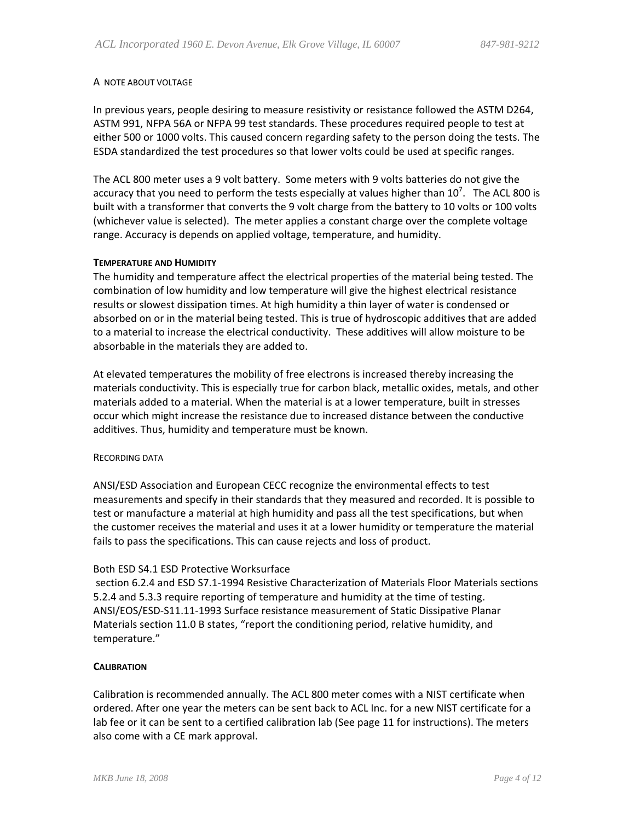#### A NOTE ABOUT VOLTAGE

In previous years, people desiring to measure resistivity or resistance followed the ASTM D264, ASTM 991, NFPA 56A or NFPA 99 test standards. These procedures required people to test at either 500 or 1000 volts. This caused concern regarding safety to the person doing the tests. The ESDA standardized the test procedures so that lower volts could be used at specific ranges.

The ACL 800 meter uses a 9 volt battery. Some meters with 9 volts batteries do not give the accuracy that you need to perform the tests especially at values higher than 10<sup>7</sup>. The ACL 800 is built with a transformer that converts the 9 volt charge from the battery to 10 volts or 100 volts (whichever value is selected). The meter applies a constant charge over the complete voltage range. Accuracy is depends on applied voltage, temperature, and humidity.

#### **TEMPERATURE AND HUMIDITY**

The humidity and temperature affect the electrical properties of the material being tested. The combination of low humidity and low temperature will give the highest electrical resistance results or slowest dissipation times. At high humidity a thin layer of water is condensed or absorbed on or in the material being tested. This is true of hydroscopic additives that are added to a material to increase the electrical conductivity. These additives will allow moisture to be absorbable in the materials they are added to.

At elevated temperatures the mobility of free electrons is increased thereby increasing the materials conductivity. This is especially true for carbon black, metallic oxides, metals, and other materials added to a material. When the material is at a lower temperature, built in stresses occur which might increase the resistance due to increased distance between the conductive additives. Thus, humidity and temperature must be known.

#### RECORDING DATA

ANSI/ESD Association and European CECC recognize the environmental effects to test measurements and specify in their standards that they measured and recorded. It is possible to test or manufacture a material at high humidity and pass all the test specifications, but when the customer receives the material and uses it at a lower humidity or temperature the material fails to pass the specifications. This can cause rejects and loss of product.

#### Both ESD S4.1 ESD Protective Worksurface

section 6.2.4 and ESD S7.1‐1994 Resistive Characterization of Materials Floor Materials sections 5.2.4 and 5.3.3 require reporting of temperature and humidity at the time of testing. ANSI/EOS/ESD‐S11.11‐1993 Surface resistance measurement of Static Dissipative Planar Materials section 11.0 B states, "report the conditioning period, relative humidity, and temperature."

#### **CALIBRATION**

Calibration is recommended annually. The ACL 800 meter comes with a NIST certificate when ordered. After one year the meters can be sent back to ACL Inc. for a new NIST certificate for a lab fee or it can be sent to a certified calibration lab (See page 11 for instructions). The meters also come with a CE mark approval.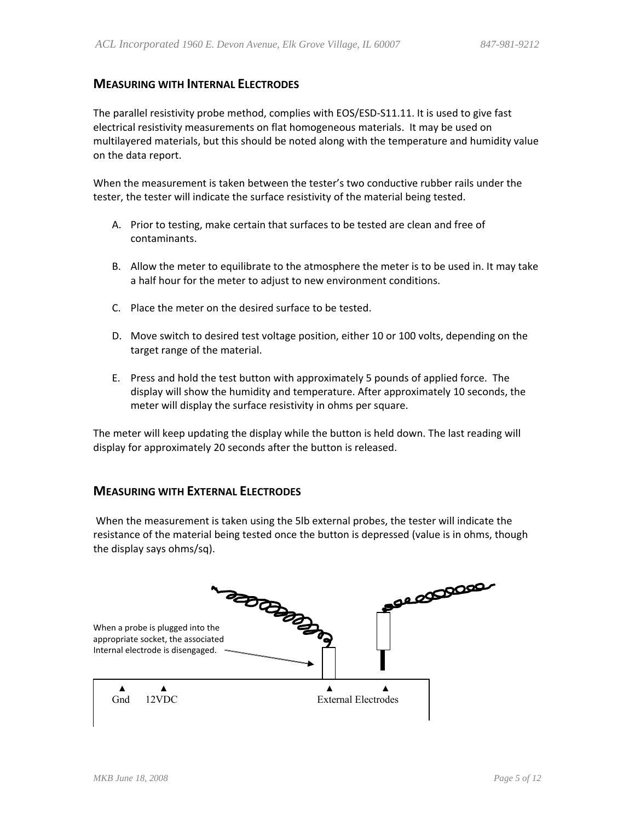#### **MEASURING WITH INTERNAL ELECTRODES**

The parallel resistivity probe method, complies with EOS/ESD‐S11.11. It is used to give fast electrical resistivity measurements on flat homogeneous materials. It may be used on multilayered materials, but this should be noted along with the temperature and humidity value on the data report.

When the measurement is taken between the tester's two conductive rubber rails under the tester, the tester will indicate the surface resistivity of the material being tested.

- A. Prior to testing, make certain that surfaces to be tested are clean and free of contaminants.
- B. Allow the meter to equilibrate to the atmosphere the meter is to be used in. It may take a half hour for the meter to adjust to new environment conditions.
- C. Place the meter on the desired surface to be tested.
- D. Move switch to desired test voltage position, either 10 or 100 volts, depending on the target range of the material.
- E. Press and hold the test button with approximately 5 pounds of applied force. The display will show the humidity and temperature. After approximately 10 seconds, the meter will display the surface resistivity in ohms per square.

The meter will keep updating the display while the button is held down. The last reading will display for approximately 20 seconds after the button is released.

#### **MEASURING WITH EXTERNAL ELECTRODES**

When the measurement is taken using the 5lb external probes, the tester will indicate the resistance of the material being tested once the button is depressed (value is in ohms, though the display says ohms/sq).

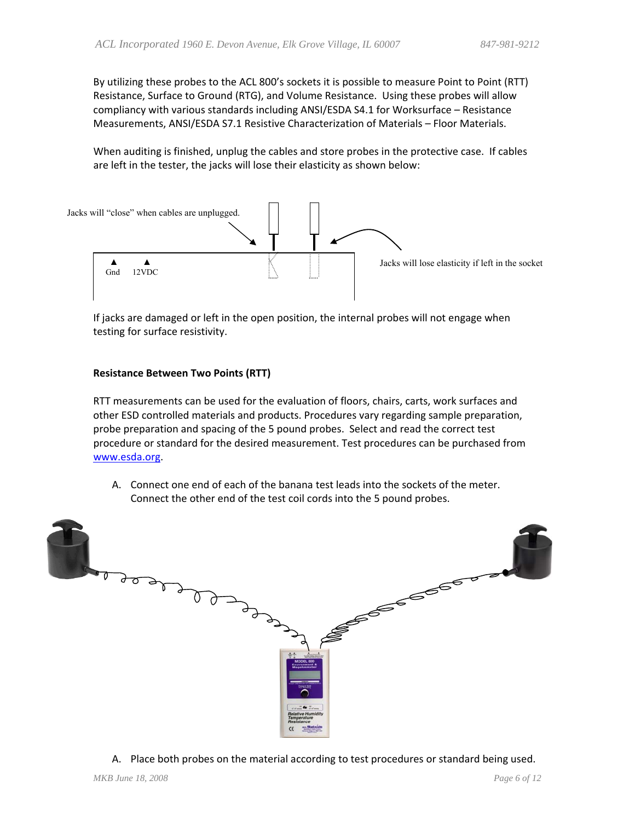By utilizing these probes to the ACL 800's sockets it is possible to measure Point to Point (RTT) Resistance, Surface to Ground (RTG), and Volume Resistance. Using these probes will allow compliancy with various standards including ANSI/ESDA S4.1 for Worksurface – Resistance Measurements, ANSI/ESDA S7.1 Resistive Characterization of Materials – Floor Materials.

When auditing is finished, unplug the cables and store probes in the protective case. If cables are left in the tester, the jacks will lose their elasticity as shown below:



If jacks are damaged or left in the open position, the internal probes will not engage when testing for surface resistivity.

#### **Resistance Between Two Points (RTT)**

RTT measurements can be used for the evaluation of floors, chairs, carts, work surfaces and other ESD controlled materials and products. Procedures vary regarding sample preparation, probe preparation and spacing of the 5 pound probes. Select and read the correct test procedure or standard for the desired measurement. Test procedures can be purchased from [www.esda.org.](http://www.esda.org/)

A. Connect one end of each of the banana test leads into the sockets of the meter. Connect the other end of the test coil cords into the 5 pound probes.



A. Place both probes on the material according to test procedures or standard being used.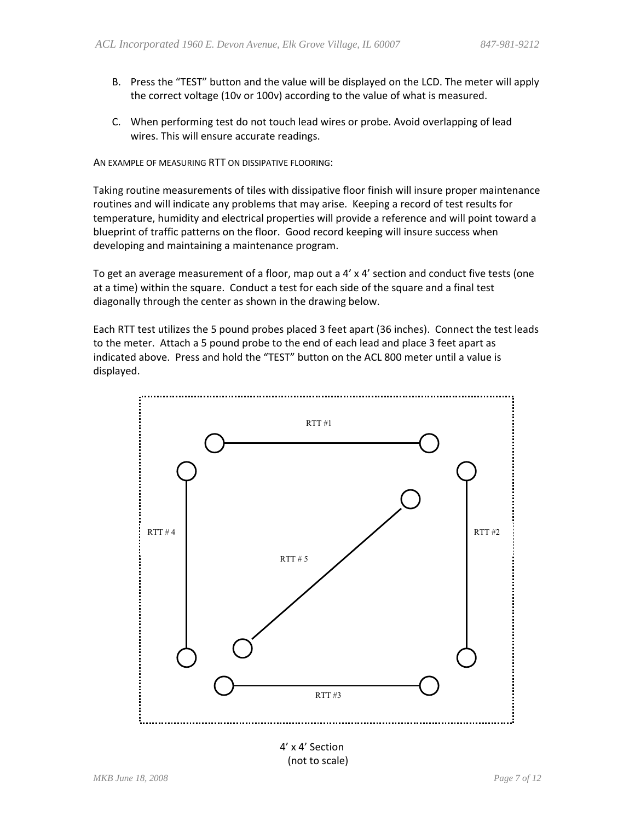- B. Press the "TEST" button and the value will be displayed on the LCD. The meter will apply the correct voltage (10v or 100v) according to the value of what is measured.
- C. When performing test do not touch lead wires or probe. Avoid overlapping of lead wires. This will ensure accurate readings.

AN EXAMPLE OF MEASURING RTT ON DISSIPATIVE FLOORING:

Taking routine measurements of tiles with dissipative floor finish will insure proper maintenance routines and will indicate any problems that may arise. Keeping a record of test results for temperature, humidity and electrical properties will provide a reference and will point toward a blueprint of traffic patterns on the floor. Good record keeping will insure success when developing and maintaining a maintenance program.

To get an average measurement of a floor, map out a 4' x 4' section and conduct five tests (one at a time) within the square. Conduct a test for each side of the square and a final test diagonally through the center as shown in the drawing below.

Each RTT test utilizes the 5 pound probes placed 3 feet apart (36 inches). Connect the test leads to the meter. Attach a 5 pound probe to the end of each lead and place 3 feet apart as indicated above. Press and hold the "TEST" button on the ACL 800 meter until a value is displayed.

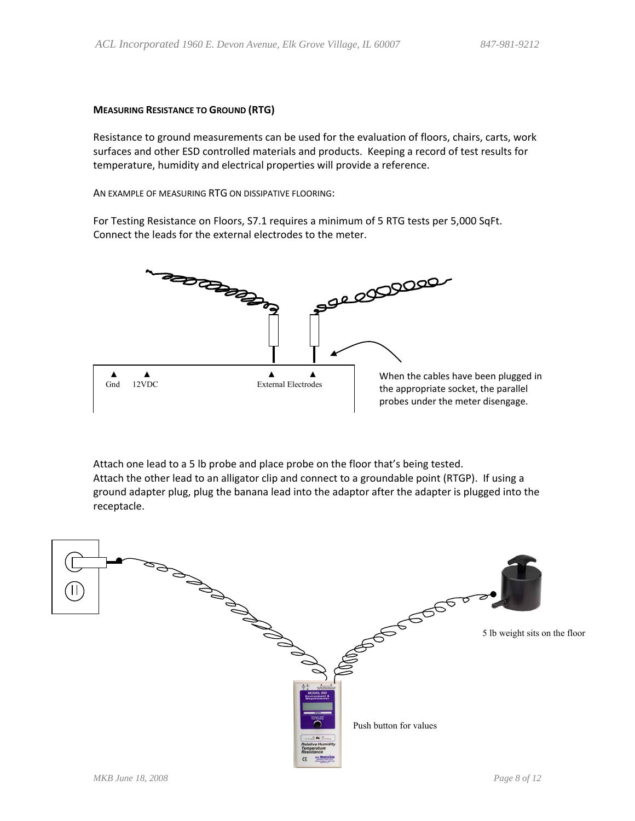#### **MEASURING RESISTANCE TO GROUND (RTG)**

Resistance to ground measurements can be used for the evaluation of floors, chairs, carts, work surfaces and other ESD controlled materials and products. Keeping a record of test results for temperature, humidity and electrical properties will provide a reference.

AN EXAMPLE OF MEASURING RTG ON DISSIPATIVE FLOORING:

For Testing Resistance on Floors, S7.1 requires a minimum of 5 RTG tests per 5,000 SqFt. Connect the leads for the external electrodes to the meter.



Attach one lead to a 5 lb probe and place probe on the floor that's being tested. Attach the other lead to an alligator clip and connect to a groundable point (RTGP). If using a ground adapter plug, plug the banana lead into the adaptor after the adapter is plugged into the receptacle.

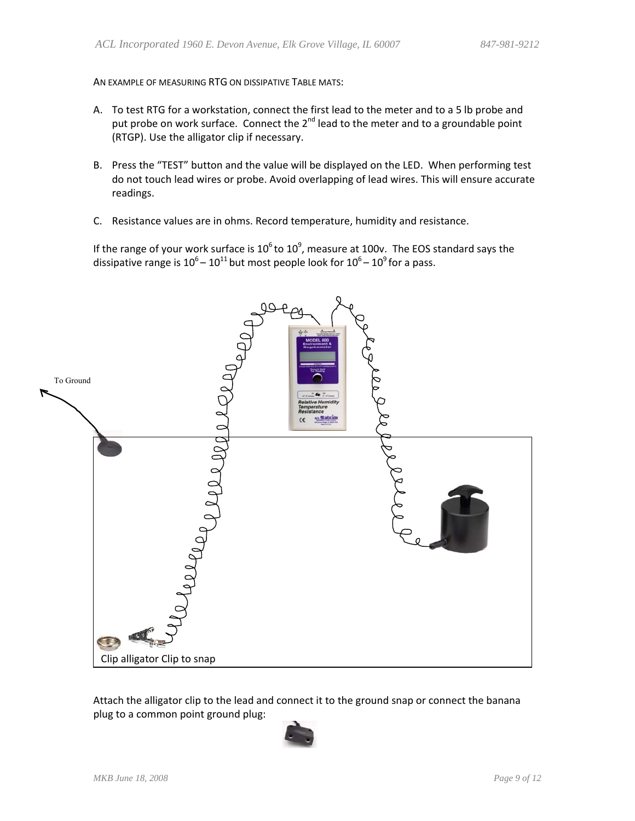AN EXAMPLE OF MEASURING RTG ON DISSIPATIVE TABLE MATS:

- A. To test RTG for a workstation, connect the first lead to the meter and to a 5 lb probe and put probe on work surface. Connect the 2<sup>nd</sup> lead to the meter and to a groundable point (RTGP). Use the alligator clip if necessary.
- B. Press the "TEST" button and the value will be displayed on the LED. When performing test do not touch lead wires or probe. Avoid overlapping of lead wires. This will ensure accurate readings.
- C. Resistance values are in ohms. Record temperature, humidity and resistance.

If the range of your work surface is 10<sup>6</sup> to 10<sup>9</sup>, measure at 100v. The EOS standard says the dissipative range is  $10^6 - 10^{11}$  but most people look for  $10^6 - 10^9$  for a pass.



Attach the alligator clip to the lead and connect it to the ground snap or connect the banana plug to a common point ground plug:

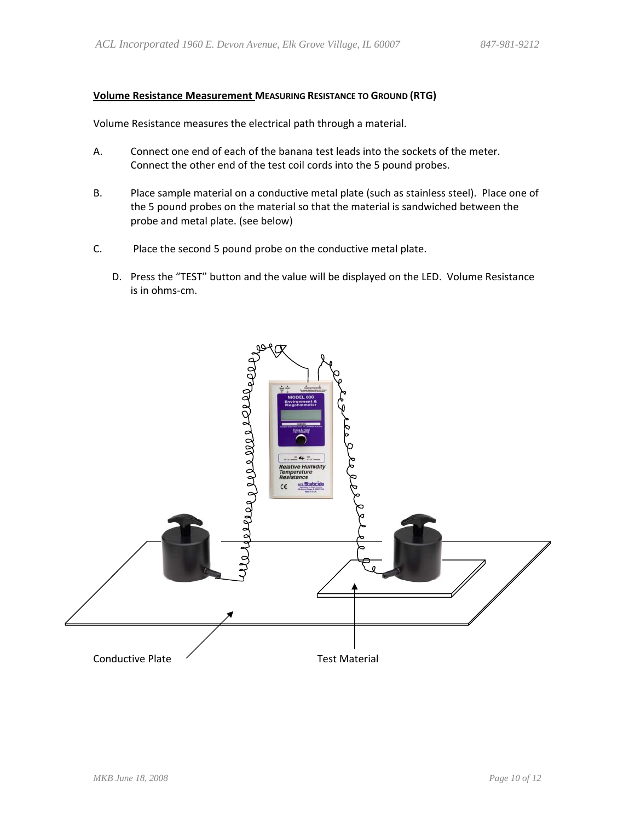#### **Volume Resistance Measurement MEASURING RESISTANCE TO GROUND (RTG)**

Volume Resistance measures the electrical path through a material.

- A. Connect one end of each of the banana test leads into the sockets of the meter. Connect the other end of the test coil cords into the 5 pound probes.
- B. Place sample material on a conductive metal plate (such as stainless steel). Place one of the 5 pound probes on the material so that the material is sandwiched between the probe and metal plate. (see below)
- C. Place the second 5 pound probe on the conductive metal plate.
	- D. Press the "TEST" button and the value will be displayed on the LED. Volume Resistance is in ohms‐cm.

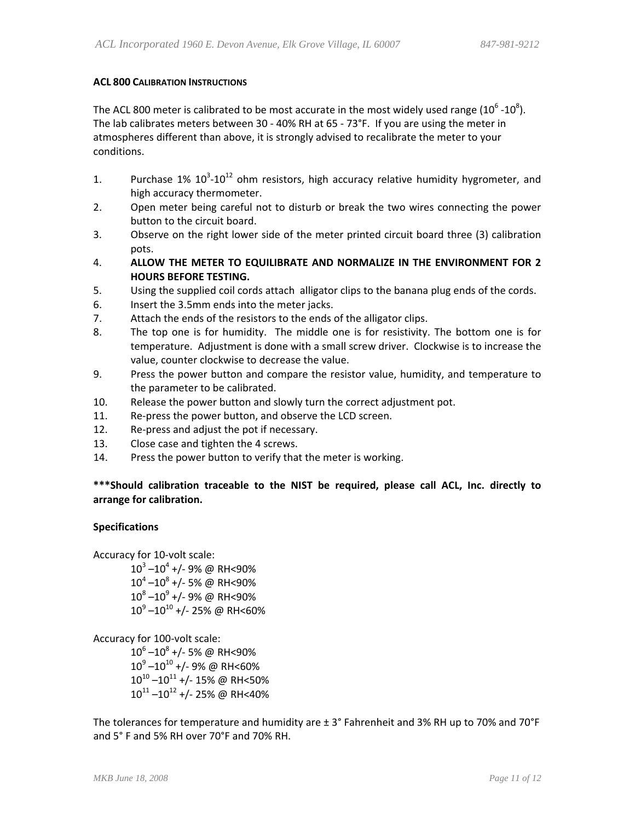#### **ACL 800 CALIBRATION INSTRUCTIONS**

The ACL 800 meter is calibrated to be most accurate in the most widely used range (10 $^6$  -10 $^8$ ). The lab calibrates meters between 30 ‐ 40% RH at 65 ‐ 73°F. If you are using the meter in atmospheres different than above, it is strongly advised to recalibrate the meter to your conditions.

- 1. Purchase 1%  $10^{3}$ -10<sup>12</sup> ohm resistors, high accuracy relative humidity hygrometer, and high accuracy thermometer.
- 2. Open meter being careful not to disturb or break the two wires connecting the power button to the circuit board.
- 3. Observe on the right lower side of the meter printed circuit board three (3) calibration pots.
- 4. **ALLOW THE METER TO EQUILIBRATE AND NORMALIZE IN THE ENVIRONMENT FOR 2 HOURS BEFORE TESTING.**
- 5. Using the supplied coil cords attach alligator clips to the banana plug ends of the cords.
- 6. Insert the 3.5mm ends into the meter jacks.
- 7. Attach the ends of the resistors to the ends of the alligator clips.
- 8. The top one is for humidity. The middle one is for resistivity. The bottom one is for temperature. Adjustment is done with a small screw driver. Clockwise is to increase the value, counter clockwise to decrease the value.
- 9. Press the power button and compare the resistor value, humidity, and temperature to the parameter to be calibrated.
- 10. Release the power button and slowly turn the correct adjustment pot.
- 11. Re-press the power button, and observe the LCD screen.
- 12. Re-press and adjust the pot if necessary.
- 13. Close case and tighten the 4 screws.
- 14. Press the power button to verify that the meter is working.

#### **\*\*\*Should calibration traceable to the NIST be required, please call ACL, Inc. directly to arrange for calibration.**

#### **Specifications**

Accuracy for 10‐volt scale:

 $10^3 - 10^4$  +/- 9% @ RH<90%  $10^4 - 10^8$  +/- 5% @ RH<90%  $10^8 - 10^9$  +/- 9% @ RH<90%  $10^9 - 10^{10}$  +/- 25% @ RH<60%

Accuracy for 100‐volt scale:

 $10^6 - 10^8$  +/- 5% @ RH<90%  $10^9 - 10^{10}$  +/- 9% @ RH<60%  $10^{10} - 10^{11}$  +/- 15% @ RH<50%  $10^{11}$  – $10^{12}$  +/- 25% @ RH<40%

The tolerances for temperature and humidity are ± 3° Fahrenheit and 3% RH up to 70% and 70°F and 5° F and 5% RH over 70°F and 70% RH.